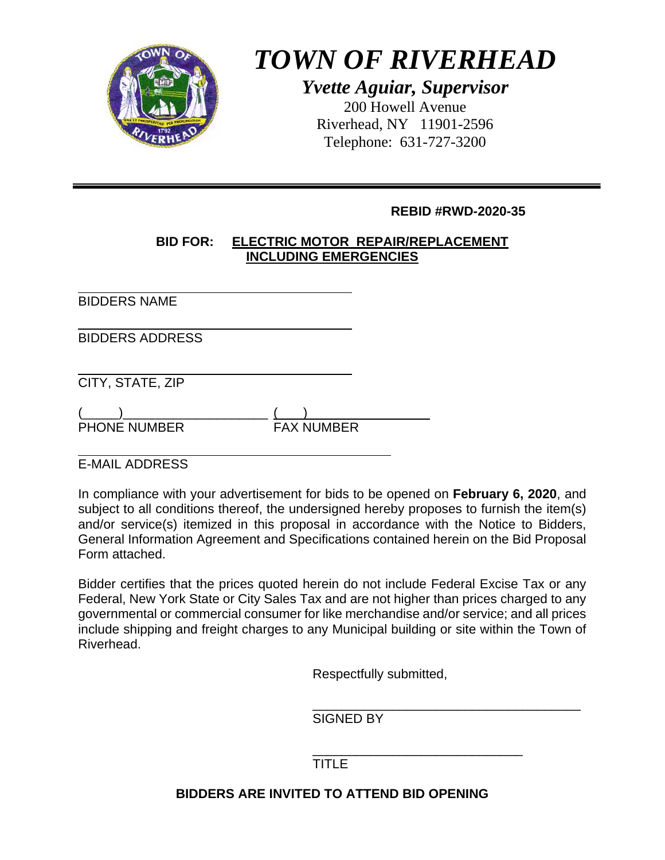

# *TOWN OF RIVERHEAD*

*Yvette Aguiar, Supervisor*  200 Howell Avenue Riverhead, NY 11901-2596 Telephone: 631-727-3200

#### **REBID #RWD-2020-35**

#### **BID FOR: ELECTRIC MOTOR REPAIR/REPLACEMENT INCLUDING EMERGENCIES**

 $\overline{a}$ BIDDERS NAME

 $\overline{a}$ BIDDERS ADDRESS

 $\overline{a}$ CITY, STATE, ZIP

 $(\_\_)$ PHONE NUMBER

 $\overline{a}$ E-MAIL ADDRESS

In compliance with your advertisement for bids to be opened on **February 6, 2020**, and subject to all conditions thereof, the undersigned hereby proposes to furnish the item(s) and/or service(s) itemized in this proposal in accordance with the Notice to Bidders, General Information Agreement and Specifications contained herein on the Bid Proposal Form attached.

Bidder certifies that the prices quoted herein do not include Federal Excise Tax or any Federal, New York State or City Sales Tax and are not higher than prices charged to any governmental or commercial consumer for like merchandise and/or service; and all prices include shipping and freight charges to any Municipal building or site within the Town of Riverhead.

Respectfully submitted,

 $\overline{\phantom{a}}$  , which is a set of the set of the set of the set of the set of the set of the set of the set of the set of the set of the set of the set of the set of the set of the set of the set of the set of the set of th SIGNED BY

 $\frac{1}{\sqrt{2\pi}}$  ,  $\frac{1}{\sqrt{2\pi}}$  ,  $\frac{1}{\sqrt{2\pi}}$  ,  $\frac{1}{\sqrt{2\pi}}$  ,  $\frac{1}{\sqrt{2\pi}}$  ,  $\frac{1}{\sqrt{2\pi}}$  ,  $\frac{1}{\sqrt{2\pi}}$  ,  $\frac{1}{\sqrt{2\pi}}$  ,  $\frac{1}{\sqrt{2\pi}}$  ,  $\frac{1}{\sqrt{2\pi}}$  ,  $\frac{1}{\sqrt{2\pi}}$  ,  $\frac{1}{\sqrt{2\pi}}$  ,  $\frac{1}{\sqrt{2\pi}}$  , TITLE

### **BIDDERS ARE INVITED TO ATTEND BID OPENING**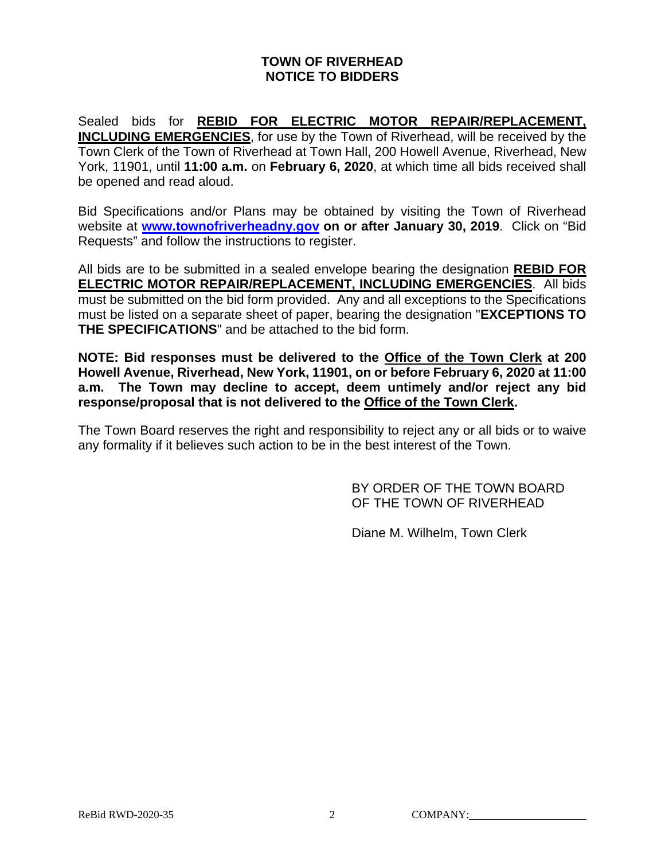#### **TOWN OF RIVERHEAD NOTICE TO BIDDERS**

Sealed bids for **REBID FOR ELECTRIC MOTOR REPAIR/REPLACEMENT, INCLUDING EMERGENCIES**, for use by the Town of Riverhead, will be received by the Town Clerk of the Town of Riverhead at Town Hall, 200 Howell Avenue, Riverhead, New York, 11901, until **11:00 a.m.** on **February 6, 2020**, at which time all bids received shall be opened and read aloud.

Bid Specifications and/or Plans may be obtained by visiting the Town of Riverhead website at **www.townofriverheadny.gov on or after January 30, 2019**. Click on "Bid Requests" and follow the instructions to register.

All bids are to be submitted in a sealed envelope bearing the designation **REBID FOR ELECTRIC MOTOR REPAIR/REPLACEMENT, INCLUDING EMERGENCIES**. All bids must be submitted on the bid form provided. Any and all exceptions to the Specifications must be listed on a separate sheet of paper, bearing the designation "**EXCEPTIONS TO THE SPECIFICATIONS**" and be attached to the bid form.

**NOTE: Bid responses must be delivered to the Office of the Town Clerk at 200 Howell Avenue, Riverhead, New York, 11901, on or before February 6, 2020 at 11:00 a.m. The Town may decline to accept, deem untimely and/or reject any bid response/proposal that is not delivered to the Office of the Town Clerk.**

The Town Board reserves the right and responsibility to reject any or all bids or to waive any formality if it believes such action to be in the best interest of the Town.

> BY ORDER OF THE TOWN BOARD OF THE TOWN OF RIVERHEAD

Diane M. Wilhelm, Town Clerk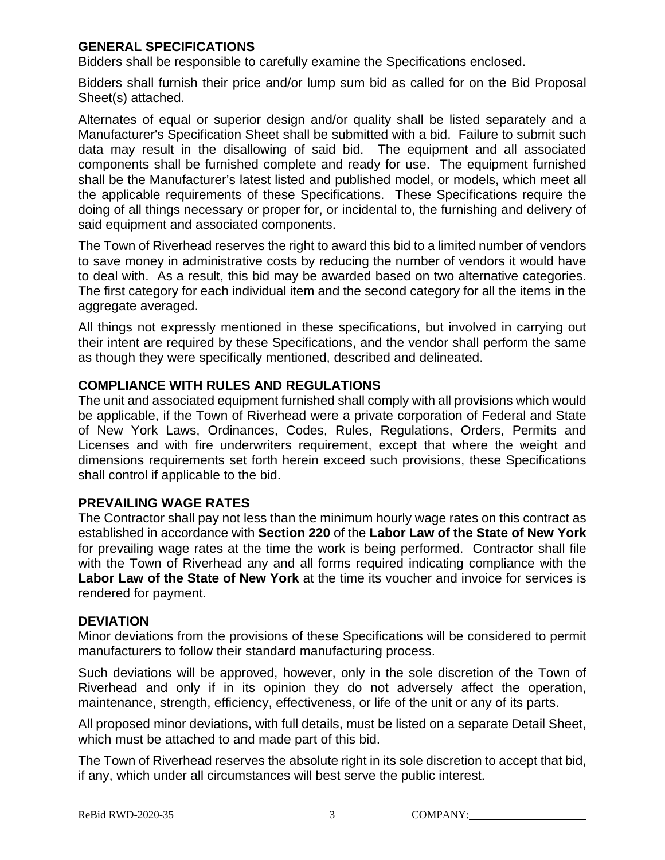#### **GENERAL SPECIFICATIONS**

Bidders shall be responsible to carefully examine the Specifications enclosed.

Bidders shall furnish their price and/or lump sum bid as called for on the Bid Proposal Sheet(s) attached.

Alternates of equal or superior design and/or quality shall be listed separately and a Manufacturer's Specification Sheet shall be submitted with a bid. Failure to submit such data may result in the disallowing of said bid. The equipment and all associated components shall be furnished complete and ready for use. The equipment furnished shall be the Manufacturer's latest listed and published model, or models, which meet all the applicable requirements of these Specifications. These Specifications require the doing of all things necessary or proper for, or incidental to, the furnishing and delivery of said equipment and associated components.

The Town of Riverhead reserves the right to award this bid to a limited number of vendors to save money in administrative costs by reducing the number of vendors it would have to deal with. As a result, this bid may be awarded based on two alternative categories. The first category for each individual item and the second category for all the items in the aggregate averaged.

All things not expressly mentioned in these specifications, but involved in carrying out their intent are required by these Specifications, and the vendor shall perform the same as though they were specifically mentioned, described and delineated.

#### **COMPLIANCE WITH RULES AND REGULATIONS**

The unit and associated equipment furnished shall comply with all provisions which would be applicable, if the Town of Riverhead were a private corporation of Federal and State of New York Laws, Ordinances, Codes, Rules, Regulations, Orders, Permits and Licenses and with fire underwriters requirement, except that where the weight and dimensions requirements set forth herein exceed such provisions, these Specifications shall control if applicable to the bid.

#### **PREVAILING WAGE RATES**

The Contractor shall pay not less than the minimum hourly wage rates on this contract as established in accordance with **Section 220** of the **Labor Law of the State of New York** for prevailing wage rates at the time the work is being performed. Contractor shall file with the Town of Riverhead any and all forms required indicating compliance with the **Labor Law of the State of New York** at the time its voucher and invoice for services is rendered for payment.

#### **DEVIATION**

Minor deviations from the provisions of these Specifications will be considered to permit manufacturers to follow their standard manufacturing process.

Such deviations will be approved, however, only in the sole discretion of the Town of Riverhead and only if in its opinion they do not adversely affect the operation, maintenance, strength, efficiency, effectiveness, or life of the unit or any of its parts.

All proposed minor deviations, with full details, must be listed on a separate Detail Sheet, which must be attached to and made part of this bid.

The Town of Riverhead reserves the absolute right in its sole discretion to accept that bid, if any, which under all circumstances will best serve the public interest.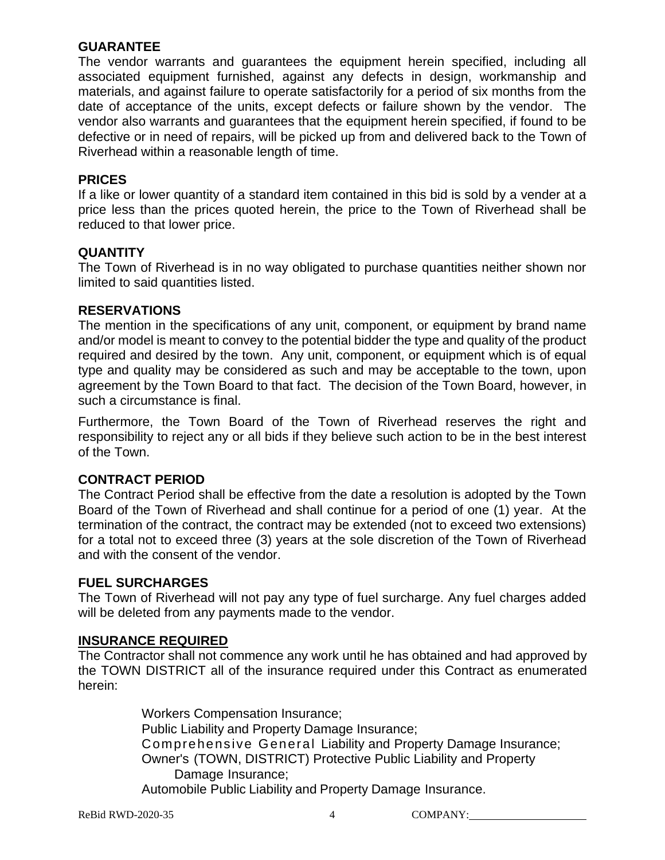#### **GUARANTEE**

The vendor warrants and guarantees the equipment herein specified, including all associated equipment furnished, against any defects in design, workmanship and materials, and against failure to operate satisfactorily for a period of six months from the date of acceptance of the units, except defects or failure shown by the vendor. The vendor also warrants and guarantees that the equipment herein specified, if found to be defective or in need of repairs, will be picked up from and delivered back to the Town of Riverhead within a reasonable length of time.

#### **PRICES**

If a like or lower quantity of a standard item contained in this bid is sold by a vender at a price less than the prices quoted herein, the price to the Town of Riverhead shall be reduced to that lower price.

#### **QUANTITY**

The Town of Riverhead is in no way obligated to purchase quantities neither shown nor limited to said quantities listed.

#### **RESERVATIONS**

The mention in the specifications of any unit, component, or equipment by brand name and/or model is meant to convey to the potential bidder the type and quality of the product required and desired by the town. Any unit, component, or equipment which is of equal type and quality may be considered as such and may be acceptable to the town, upon agreement by the Town Board to that fact. The decision of the Town Board, however, in such a circumstance is final.

Furthermore, the Town Board of the Town of Riverhead reserves the right and responsibility to reject any or all bids if they believe such action to be in the best interest of the Town.

#### **CONTRACT PERIOD**

The Contract Period shall be effective from the date a resolution is adopted by the Town Board of the Town of Riverhead and shall continue for a period of one (1) year. At the termination of the contract, the contract may be extended (not to exceed two extensions) for a total not to exceed three (3) years at the sole discretion of the Town of Riverhead and with the consent of the vendor.

#### **FUEL SURCHARGES**

The Town of Riverhead will not pay any type of fuel surcharge. Any fuel charges added will be deleted from any payments made to the vendor.

#### **INSURANCE REQUIRED**

The Contractor shall not commence any work until he has obtained and had approved by the TOWN DISTRICT all of the insurance required under this Contract as enumerated herein:

> Workers Compensation Insurance; Public Liability and Property Damage Insurance; Comprehensive General Liability and Property Damage Insurance; Owner's (TOWN, DISTRICT) Protective Public Liability and Property Damage Insurance; Automobile Public Liability and Property Damage Insurance.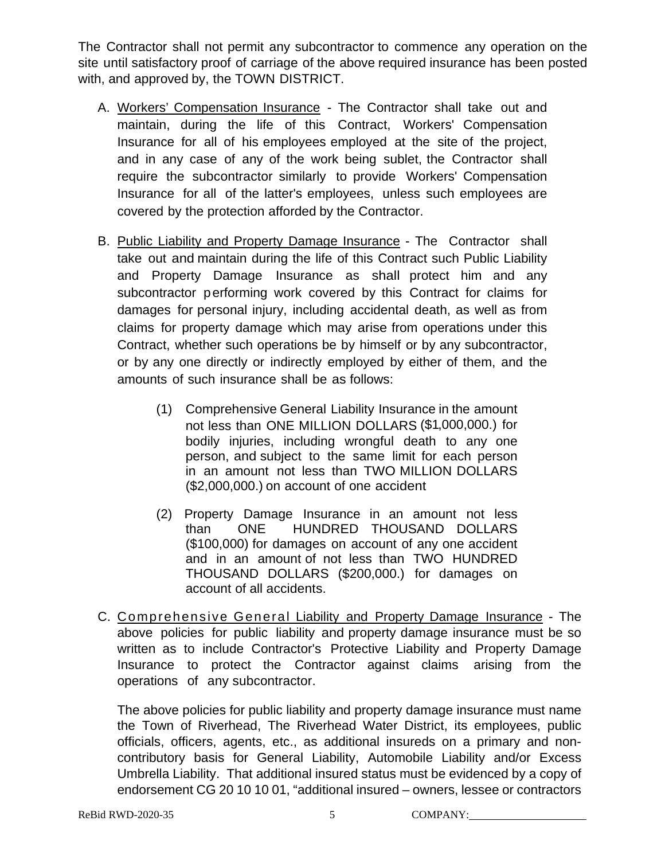The Contractor shall not permit any subcontractor to commence any operation on the site until satisfactory proof of carriage of the above required insurance has been posted with, and approved by, the TOWN DISTRICT.

- A. Workers' Compensation Insurance The Contractor shall take out and maintain, during the life of this Contract, Workers' Compensation Insurance for all of his employees employed at the site of the project, and in any case of any of the work being sublet, the Contractor shall require the subcontractor similarly to provide Workers' Compensation Insurance for all of the latter's employees, unless such employees are covered by the protection afforded by the Contractor.
- B. Public Liability and Property Damage Insurance The Contractor shall take out and maintain during the life of this Contract such Public Liability and Property Damage Insurance as shall protect him and any subcontractor performing work covered by this Contract for claims for damages for personal injury, including accidental death, as well as from claims for property damage which may arise from operations under this Contract, whether such operations be by himself or by any subcontractor, or by any one directly or indirectly employed by either of them, and the amounts of such insurance shall be as follows:
	- (1) Comprehensive General Liability Insurance in the amount not less than ONE MILLION DOLLARS (\$1,000,000.) for bodily injuries, including wrongful death to any one person, and subject to the same limit for each person in an amount not less than TWO MILLION DOLLARS (\$2,000,000.) on account of one accident
	- (2) Property Damage Insurance in an amount not less than ONE HUNDRED THOUSAND DOLLARS (\$100,000) for damages on account of any one accident and in an amount of not less than TWO HUNDRED THOUSAND DOLLARS (\$200,000.) for damages on account of all accidents.
- C. Comprehensive General Liability and Property Damage Insurance The above policies for public liability and property damage insurance must be so written as to include Contractor's Protective Liability and Property Damage Insurance to protect the Contractor against claims arising from the operations of any subcontractor.

The above policies for public liability and property damage insurance must name the Town of Riverhead, The Riverhead Water District, its employees, public officials, officers, agents, etc., as additional insureds on a primary and noncontributory basis for General Liability, Automobile Liability and/or Excess Umbrella Liability. That additional insured status must be evidenced by a copy of endorsement CG 20 10 10 01, "additional insured – owners, lessee or contractors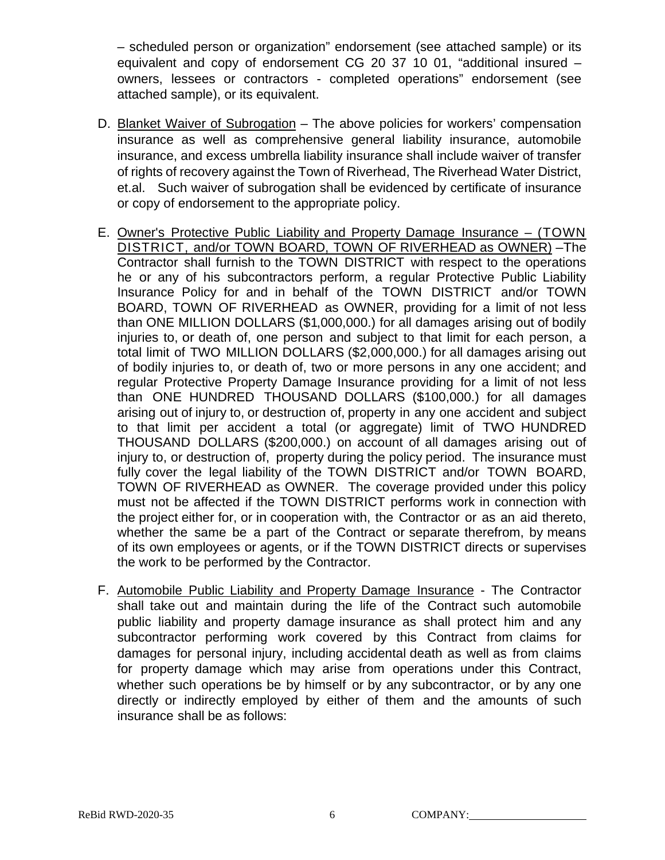– scheduled person or organization" endorsement (see attached sample) or its equivalent and copy of endorsement CG 20 37 10 01, "additional insured – owners, lessees or contractors - completed operations" endorsement (see attached sample), or its equivalent.

- D. Blanket Waiver of Subrogation The above policies for workers' compensation insurance as well as comprehensive general liability insurance, automobile insurance, and excess umbrella liability insurance shall include waiver of transfer of rights of recovery against the Town of Riverhead, The Riverhead Water District, et.al. Such waiver of subrogation shall be evidenced by certificate of insurance or copy of endorsement to the appropriate policy.
- E. Owner's Protective Public Liability and Property Damage Insurance (TOWN DISTRICT, and/or TOWN BOARD, TOWN OF RIVERHEAD as OWNER) –The Contractor shall furnish to the TOWN DISTRICT with respect to the operations he or any of his subcontractors perform, a regular Protective Public Liability Insurance Policy for and in behalf of the TOWN DISTRICT and/or TOWN BOARD, TOWN OF RIVERHEAD as OWNER, providing for a limit of not less than ONE MILLION DOLLARS (\$1,000,000.) for all damages arising out of bodily injuries to, or death of, one person and subject to that limit for each person, a total limit of TWO MILLION DOLLARS (\$2,000,000.) for all damages arising out of bodily injuries to, or death of, two or more persons in any one accident; and regular Protective Property Damage Insurance providing for a limit of not less than ONE HUNDRED THOUSAND DOLLARS (\$100,000.) for all damages arising out of injury to, or destruction of, property in any one accident and subject to that limit per accident a total (or aggregate) limit of TWO HUNDRED THOUSAND DOLLARS (\$200,000.) on account of all damages arising out of injury to, or destruction of, property during the policy period. The insurance must fully cover the legal liability of the TOWN DISTRICT and/or TOWN BOARD, TOWN OF RIVERHEAD as OWNER. The coverage provided under this policy must not be affected if the TOWN DISTRICT performs work in connection with the project either for, or in cooperation with, the Contractor or as an aid thereto, whether the same be a part of the Contract or separate therefrom, by means of its own employees or agents, or if the TOWN DISTRICT directs or supervises the work to be performed by the Contractor.
- F. Automobile Public Liability and Property Damage Insurance The Contractor shall take out and maintain during the life of the Contract such automobile public liability and property damage insurance as shall protect him and any subcontractor performing work covered by this Contract from claims for damages for personal injury, including accidental death as well as from claims for property damage which may arise from operations under this Contract, whether such operations be by himself or by any subcontractor, or by any one directly or indirectly employed by either of them and the amounts of such insurance shall be as follows: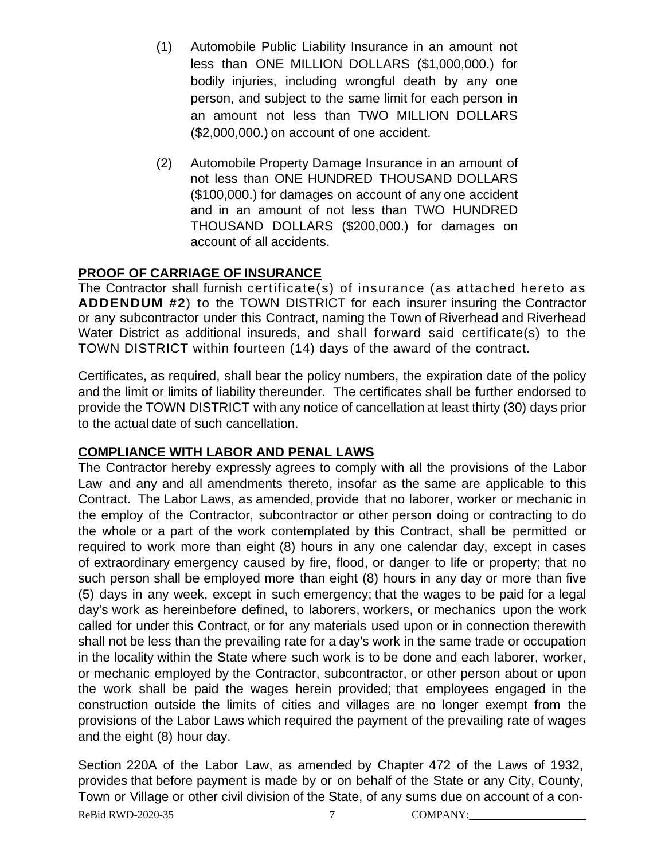- (1) Automobile Public Liability Insurance in an amount not less than ONE MILLION DOLLARS (\$1,000,000.) for bodily injuries, including wrongful death by any one person, and subject to the same limit for each person in an amount not less than TWO MILLION DOLLARS (\$2,000,000.) on account of one accident.
- (2) Automobile Property Damage Insurance in an amount of not less than ONE HUNDRED THOUSAND DOLLARS (\$100,000.) for damages on account of any one accident and in an amount of not less than TWO HUNDRED THOUSAND DOLLARS (\$200,000.) for damages on account of all accidents.

#### **PROOF OF CARRIAGE OF INSURANCE**

The Contractor shall furnish certificate(s) of insurance (as attached hereto as **ADDENDUM #2**) to the TOWN DISTRICT for each insurer insuring the Contractor or any subcontractor under this Contract, naming the Town of Riverhead and Riverhead Water District as additional insureds, and shall forward said certificate(s) to the TOWN DISTRICT within fourteen (14) days of the award of the contract.

Certificates, as required, shall bear the policy numbers, the expiration date of the policy and the limit or limits of liability thereunder. The certificates shall be further endorsed to provide the TOWN DISTRICT with any notice of cancellation at least thirty (30) days prior to the actual date of such cancellation.

#### **COMPLIANCE WITH LABOR AND PENAL LAWS**

The Contractor hereby expressly agrees to comply with all the provisions of the Labor Law and any and all amendments thereto, insofar as the same are applicable to this Contract. The Labor Laws, as amended, provide that no laborer, worker or mechanic in the employ of the Contractor, subcontractor or other person doing or contracting to do the whole or a part of the work contemplated by this Contract, shall be permitted or required to work more than eight (8) hours in any one calendar day, except in cases of extraordinary emergency caused by fire, flood, or danger to life or property; that no such person shall be employed more than eight (8) hours in any day or more than five (5) days in any week, except in such emergency; that the wages to be paid for a legal day's work as hereinbefore defined, to laborers, workers, or mechanics upon the work called for under this Contract, or for any materials used upon or in connection therewith shall not be less than the prevailing rate for a day's work in the same trade or occupation in the locality within the State where such work is to be done and each laborer, worker, or mechanic employed by the Contractor, subcontractor, or other person about or upon the work shall be paid the wages herein provided; that employees engaged in the construction outside the limits of cities and villages are no longer exempt from the provisions of the Labor Laws which required the payment of the prevailing rate of wages and the eight (8) hour day.

ReBid RWD-2020-35  $\overline{7}$  COMPANY: Section 220A of the Labor Law, as amended by Chapter 472 of the Laws of 1932, provides that before payment is made by or on behalf of the State or any City, County, Town or Village or other civil division of the State, of any sums due on account of a con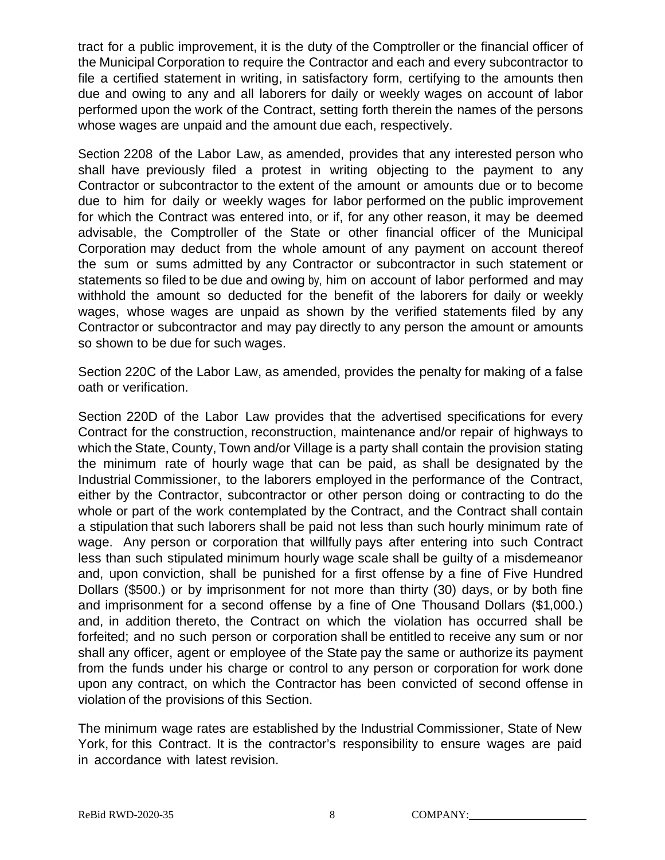tract for a public improvement, it is the duty of the Comptroller or the financial officer of the Municipal Corporation to require the Contractor and each and every subcontractor to file a certified statement in writing, in satisfactory form, certifying to the amounts then due and owing to any and all laborers for daily or weekly wages on account of labor performed upon the work of the Contract, setting forth therein the names of the persons whose wages are unpaid and the amount due each, respectively.

Section 2208 of the Labor Law, as amended, provides that any interested person who shall have previously filed a protest in writing objecting to the payment to any Contractor or subcontractor to the extent of the amount or amounts due or to become due to him for daily or weekly wages for labor performed on the public improvement for which the Contract was entered into, or if, for any other reason, it may be deemed advisable, the Comptroller of the State or other financial officer of the Municipal Corporation may deduct from the whole amount of any payment on account thereof the sum or sums admitted by any Contractor or subcontractor in such statement or statements so filed to be due and owing by, him on account of labor performed and may withhold the amount so deducted for the benefit of the laborers for daily or weekly wages, whose wages are unpaid as shown by the verified statements filed by any Contractor or subcontractor and may pay directly to any person the amount or amounts so shown to be due for such wages.

Section 220C of the Labor Law, as amended, provides the penalty for making of a false oath or verification.

Section 220D of the Labor Law provides that the advertised specifications for every Contract for the construction, reconstruction, maintenance and/or repair of highways to which the State, County, Town and/or Village is a party shall contain the provision stating the minimum rate of hourly wage that can be paid, as shall be designated by the Industrial Commissioner, to the laborers employed in the performance of the Contract, either by the Contractor, subcontractor or other person doing or contracting to do the whole or part of the work contemplated by the Contract, and the Contract shall contain a stipulation that such laborers shall be paid not less than such hourly minimum rate of wage. Any person or corporation that willfully pays after entering into such Contract less than such stipulated minimum hourly wage scale shall be guilty of a misdemeanor and, upon conviction, shall be punished for a first offense by a fine of Five Hundred Dollars (\$500.) or by imprisonment for not more than thirty (30) days, or by both fine and imprisonment for a second offense by a fine of One Thousand Dollars (\$1,000.) and, in addition thereto, the Contract on which the violation has occurred shall be forfeited; and no such person or corporation shall be entitled to receive any sum or nor shall any officer, agent or employee of the State pay the same or authorize its payment from the funds under his charge or control to any person or corporation for work done upon any contract, on which the Contractor has been convicted of second offense in violation of the provisions of this Section.

The minimum wage rates are established by the Industrial Commissioner, State of New York, for this Contract. It is the contractor's responsibility to ensure wages are paid in accordance with latest revision.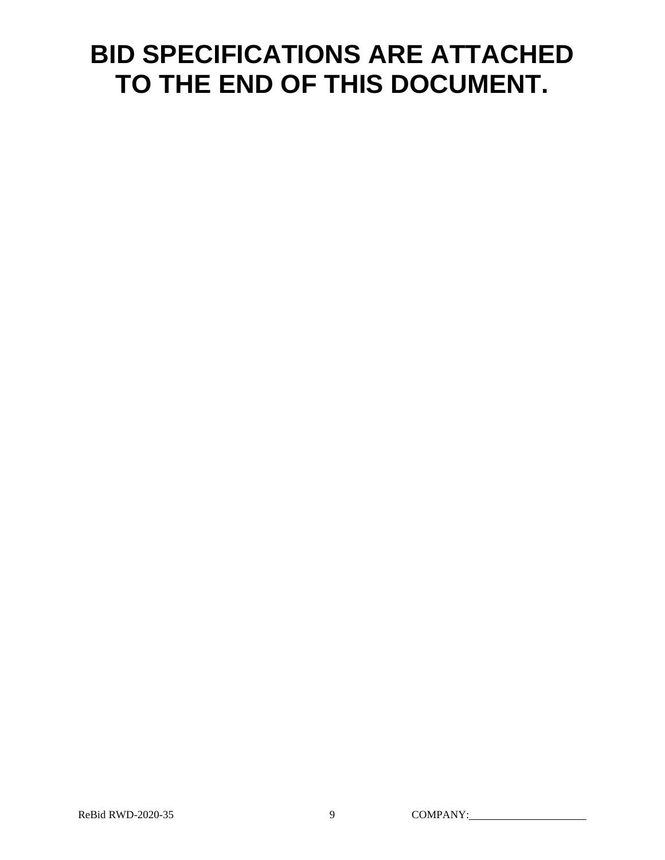# **BID SPECIFICATIONS ARE ATTACHED TO THE END OF THIS DOCUMENT.**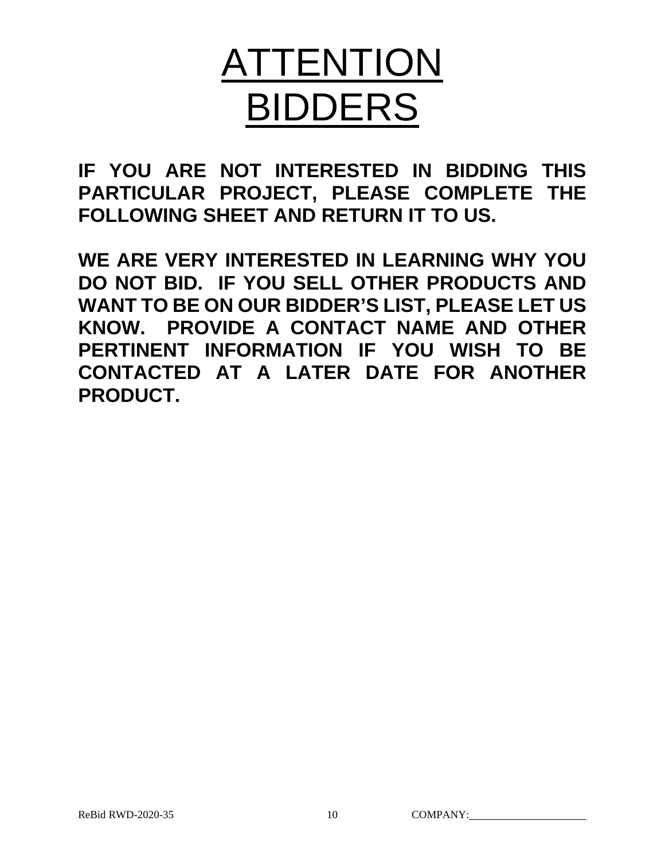# ATTENTION BIDDERS

**IF YOU ARE NOT INTERESTED IN BIDDING THIS PARTICULAR PROJECT, PLEASE COMPLETE THE FOLLOWING SHEET AND RETURN IT TO US.** 

**WE ARE VERY INTERESTED IN LEARNING WHY YOU DO NOT BID. IF YOU SELL OTHER PRODUCTS AND WANT TO BE ON OUR BIDDER'S LIST, PLEASE LET US KNOW. PROVIDE A CONTACT NAME AND OTHER PERTINENT INFORMATION IF YOU WISH TO BE CONTACTED AT A LATER DATE FOR ANOTHER PRODUCT.**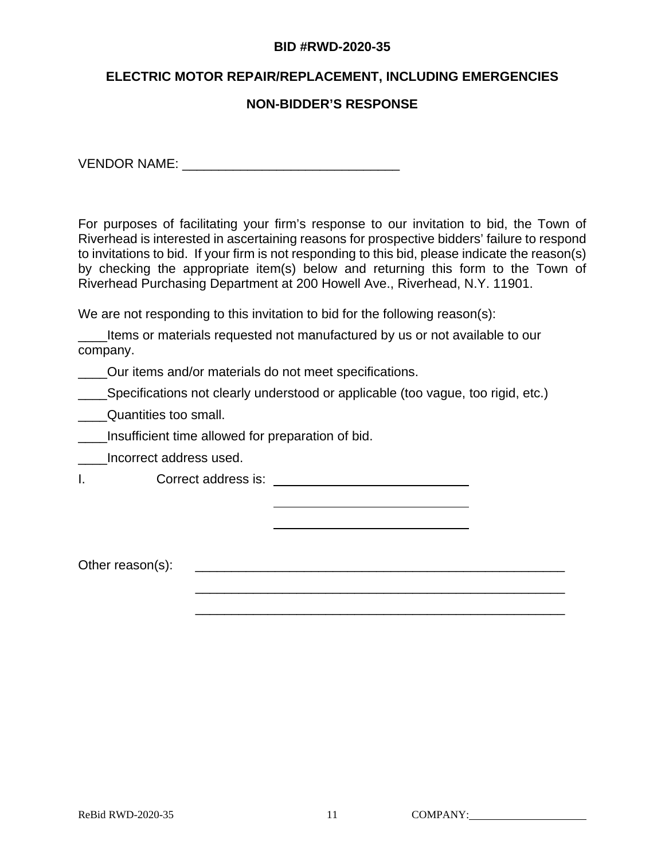#### **BID #RWD-2020-35**

#### **ELECTRIC MOTOR REPAIR/REPLACEMENT, INCLUDING EMERGENCIES**

#### **NON-BIDDER'S RESPONSE**

VENDOR NAME: \_\_\_\_\_\_\_\_\_\_\_\_\_\_\_\_\_\_\_\_\_\_\_\_\_\_\_\_\_\_

For purposes of facilitating your firm's response to our invitation to bid, the Town of Riverhead is interested in ascertaining reasons for prospective bidders' failure to respond to invitations to bid. If your firm is not responding to this bid, please indicate the reason(s) by checking the appropriate item(s) below and returning this form to the Town of Riverhead Purchasing Department at 200 Howell Ave., Riverhead, N.Y. 11901.

We are not responding to this invitation to bid for the following reason(s):

Items or materials requested not manufactured by us or not available to our company.

Our items and/or materials do not meet specifications.

**\_\_\_\_Specifications not clearly understood or applicable (too vague, too rigid, etc.)** 

**\_\_\_\_Quantities too small.** 

Insufficient time allowed for preparation of bid.

\_\_\_\_Incorrect address used.

I. Correct address is: \_\_\_\_\_\_\_

Other reason(s): \_\_\_\_\_\_\_\_\_\_\_\_\_\_\_\_\_\_\_\_\_\_\_\_\_\_\_\_\_\_\_\_\_\_\_\_\_\_\_\_\_\_\_\_\_\_\_\_\_\_\_

\_\_\_\_\_\_\_\_\_\_\_\_\_\_\_\_\_\_\_\_\_\_\_\_\_\_\_\_\_\_\_\_\_\_\_\_\_\_\_\_\_\_\_\_\_\_\_\_\_\_\_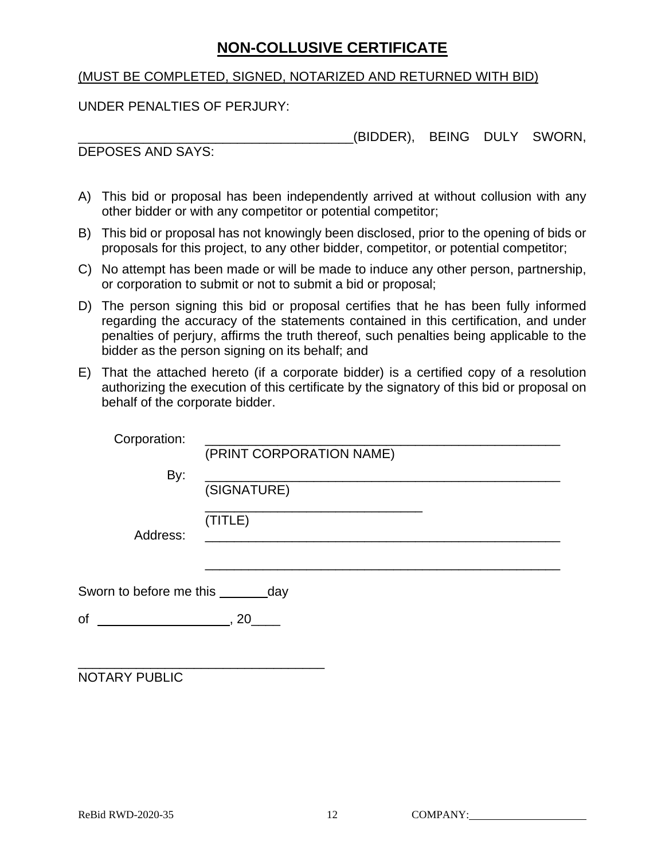## **NON-COLLUSIVE CERTIFICATE**

#### (MUST BE COMPLETED, SIGNED, NOTARIZED AND RETURNED WITH BID)

UNDER PENALTIES OF PERJURY:

\_\_\_\_\_\_\_\_\_\_\_\_\_\_\_\_\_\_\_\_\_\_\_\_\_\_\_\_\_\_\_\_\_\_\_\_\_\_(BIDDER), BEING DULY SWORN,

DEPOSES AND SAYS:

- A) This bid or proposal has been independently arrived at without collusion with any other bidder or with any competitor or potential competitor;
- B) This bid or proposal has not knowingly been disclosed, prior to the opening of bids or proposals for this project, to any other bidder, competitor, or potential competitor;
- C) No attempt has been made or will be made to induce any other person, partnership, or corporation to submit or not to submit a bid or proposal;
- D) The person signing this bid or proposal certifies that he has been fully informed regarding the accuracy of the statements contained in this certification, and under penalties of perjury, affirms the truth thereof, such penalties being applicable to the bidder as the person signing on its behalf; and
- E) That the attached hereto (if a corporate bidder) is a certified copy of a resolution authorizing the execution of this certificate by the signatory of this bid or proposal on behalf of the corporate bidder.

| Corporation:                         | (PRINT CORPORATION NAME) |
|--------------------------------------|--------------------------|
| By:                                  | (SIGNATURE)              |
| Address:                             | (TITLE)                  |
| Sworn to before me this ________ day |                          |
| of<br>$\sim$ , 20                    |                          |
| NOTARY PUBLIC                        |                          |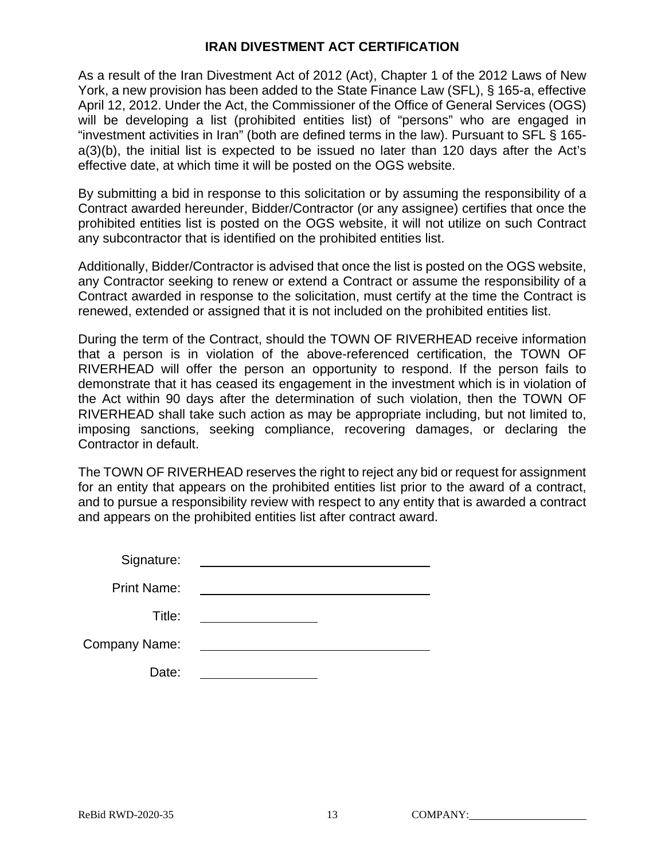#### **IRAN DIVESTMENT ACT CERTIFICATION**

As a result of the Iran Divestment Act of 2012 (Act), Chapter 1 of the 2012 Laws of New York, a new provision has been added to the State Finance Law (SFL), § 165-a, effective April 12, 2012. Under the Act, the Commissioner of the Office of General Services (OGS) will be developing a list (prohibited entities list) of "persons" who are engaged in "investment activities in Iran" (both are defined terms in the law). Pursuant to SFL § 165 a(3)(b), the initial list is expected to be issued no later than 120 days after the Act's effective date, at which time it will be posted on the OGS website.

By submitting a bid in response to this solicitation or by assuming the responsibility of a Contract awarded hereunder, Bidder/Contractor (or any assignee) certifies that once the prohibited entities list is posted on the OGS website, it will not utilize on such Contract any subcontractor that is identified on the prohibited entities list.

Additionally, Bidder/Contractor is advised that once the list is posted on the OGS website, any Contractor seeking to renew or extend a Contract or assume the responsibility of a Contract awarded in response to the solicitation, must certify at the time the Contract is renewed, extended or assigned that it is not included on the prohibited entities list.

During the term of the Contract, should the TOWN OF RIVERHEAD receive information that a person is in violation of the above-referenced certification, the TOWN OF RIVERHEAD will offer the person an opportunity to respond. If the person fails to demonstrate that it has ceased its engagement in the investment which is in violation of the Act within 90 days after the determination of such violation, then the TOWN OF RIVERHEAD shall take such action as may be appropriate including, but not limited to, imposing sanctions, seeking compliance, recovering damages, or declaring the Contractor in default.

The TOWN OF RIVERHEAD reserves the right to reject any bid or request for assignment for an entity that appears on the prohibited entities list prior to the award of a contract, and to pursue a responsibility review with respect to any entity that is awarded a contract and appears on the prohibited entities list after contract award.

Signature:

Print Name:

Title:

Company Name:

Date: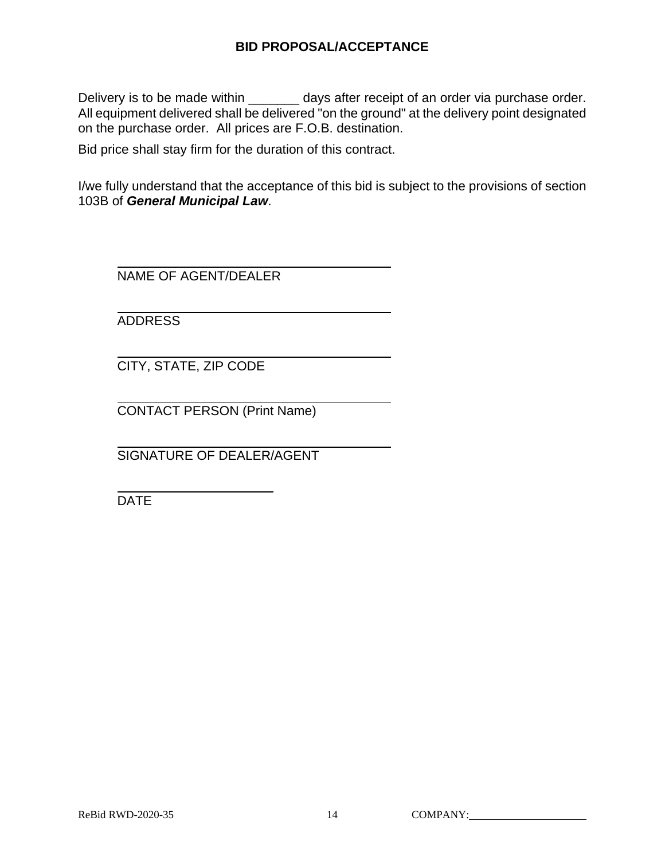#### **BID PROPOSAL/ACCEPTANCE**

Delivery is to be made within \_\_\_\_\_\_\_ days after receipt of an order via purchase order. All equipment delivered shall be delivered "on the ground" at the delivery point designated on the purchase order. All prices are F.O.B. destination.

Bid price shall stay firm for the duration of this contract.

I/we fully understand that the acceptance of this bid is subject to the provisions of section 103B of *General Municipal Law*.

NAME OF AGENT/DEALER

ADDRESS

CITY, STATE, ZIP CODE

CONTACT PERSON (Print Name)

SIGNATURE OF DEALER/AGENT

DATE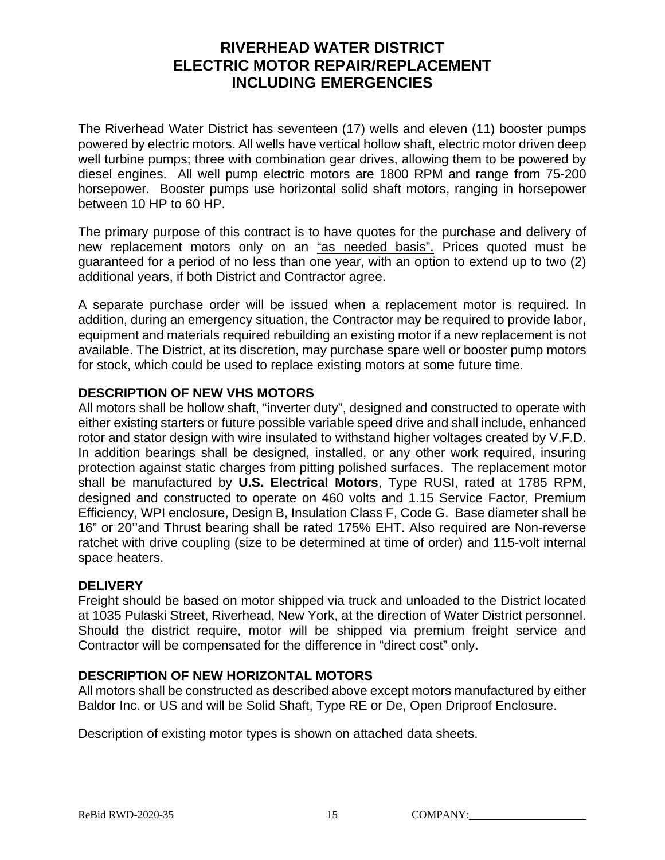## **RIVERHEAD WATER DISTRICT ELECTRIC MOTOR REPAIR/REPLACEMENT INCLUDING EMERGENCIES**

The Riverhead Water District has seventeen (17) wells and eleven (11) booster pumps powered by electric motors. All wells have vertical hollow shaft, electric motor driven deep well turbine pumps; three with combination gear drives, allowing them to be powered by diesel engines. All well pump electric motors are 1800 RPM and range from 75-200 horsepower. Booster pumps use horizontal solid shaft motors, ranging in horsepower between 10 HP to 60 HP.

The primary purpose of this contract is to have quotes for the purchase and delivery of new replacement motors only on an "as needed basis". Prices quoted must be guaranteed for a period of no less than one year, with an option to extend up to two (2) additional years, if both District and Contractor agree.

A separate purchase order will be issued when a replacement motor is required. In addition, during an emergency situation, the Contractor may be required to provide labor, equipment and materials required rebuilding an existing motor if a new replacement is not available. The District, at its discretion, may purchase spare well or booster pump motors for stock, which could be used to replace existing motors at some future time.

#### **DESCRIPTION OF NEW VHS MOTORS**

All motors shall be hollow shaft, "inverter duty", designed and constructed to operate with either existing starters or future possible variable speed drive and shall include, enhanced rotor and stator design with wire insulated to withstand higher voltages created by V.F.D. In addition bearings shall be designed, installed, or any other work required, insuring protection against static charges from pitting polished surfaces. The replacement motor shall be manufactured by **U.S. Electrical Motors**, Type RUSI, rated at 1785 RPM, designed and constructed to operate on 460 volts and 1.15 Service Factor, Premium Efficiency, WPI enclosure, Design B, Insulation Class F, Code G. Base diameter shall be 16" or 20''and Thrust bearing shall be rated 175% EHT. Also required are Non-reverse ratchet with drive coupling (size to be determined at time of order) and 115-volt internal space heaters.

#### **DELIVERY**

Freight should be based on motor shipped via truck and unloaded to the District located at 1035 Pulaski Street, Riverhead, New York, at the direction of Water District personnel. Should the district require, motor will be shipped via premium freight service and Contractor will be compensated for the difference in "direct cost" only.

#### **DESCRIPTION OF NEW HORIZONTAL MOTORS**

All motors shall be constructed as described above except motors manufactured by either Baldor Inc. or US and will be Solid Shaft, Type RE or De, Open Driproof Enclosure.

Description of existing motor types is shown on attached data sheets.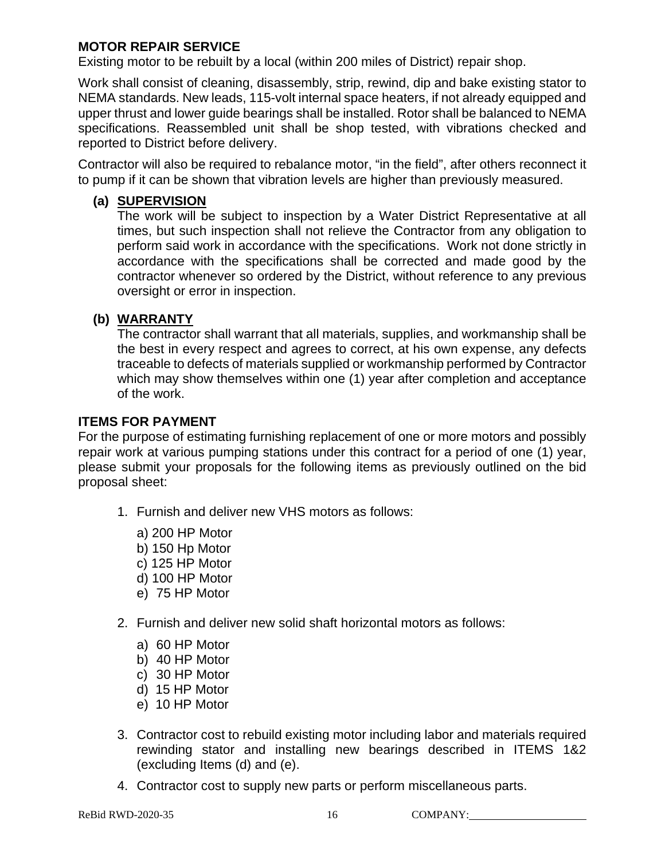#### **MOTOR REPAIR SERVICE**

Existing motor to be rebuilt by a local (within 200 miles of District) repair shop.

Work shall consist of cleaning, disassembly, strip, rewind, dip and bake existing stator to NEMA standards. New leads, 115-volt internal space heaters, if not already equipped and upper thrust and lower guide bearings shall be installed. Rotor shall be balanced to NEMA specifications. Reassembled unit shall be shop tested, with vibrations checked and reported to District before delivery.

Contractor will also be required to rebalance motor, "in the field", after others reconnect it to pump if it can be shown that vibration levels are higher than previously measured.

#### **(a) SUPERVISION**

The work will be subject to inspection by a Water District Representative at all times, but such inspection shall not relieve the Contractor from any obligation to perform said work in accordance with the specifications. Work not done strictly in accordance with the specifications shall be corrected and made good by the contractor whenever so ordered by the District, without reference to any previous oversight or error in inspection.

#### **(b) WARRANTY**

The contractor shall warrant that all materials, supplies, and workmanship shall be the best in every respect and agrees to correct, at his own expense, any defects traceable to defects of materials supplied or workmanship performed by Contractor which may show themselves within one (1) year after completion and acceptance of the work.

#### **ITEMS FOR PAYMENT**

For the purpose of estimating furnishing replacement of one or more motors and possibly repair work at various pumping stations under this contract for a period of one (1) year, please submit your proposals for the following items as previously outlined on the bid proposal sheet:

- 1. Furnish and deliver new VHS motors as follows:
	- a) 200 HP Motor
	- b) 150 Hp Motor
	- c) 125 HP Motor
	- d) 100 HP Motor
	- e) 75 HP Motor
- 2. Furnish and deliver new solid shaft horizontal motors as follows:
	- a) 60 HP Motor
	- b) 40 HP Motor
	- c) 30 HP Motor
	- d) 15 HP Motor
	- e) 10 HP Motor
- 3. Contractor cost to rebuild existing motor including labor and materials required rewinding stator and installing new bearings described in ITEMS 1&2 (excluding Items (d) and (e).
- 4. Contractor cost to supply new parts or perform miscellaneous parts.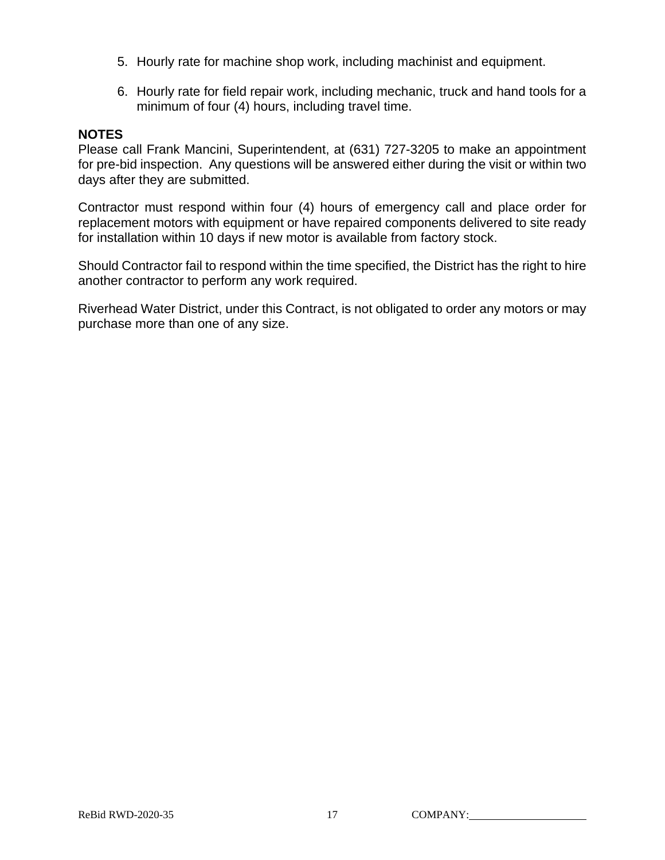- 5. Hourly rate for machine shop work, including machinist and equipment.
- 6. Hourly rate for field repair work, including mechanic, truck and hand tools for a minimum of four (4) hours, including travel time.

#### **NOTES**

Please call Frank Mancini, Superintendent, at (631) 727-3205 to make an appointment for pre-bid inspection. Any questions will be answered either during the visit or within two days after they are submitted.

Contractor must respond within four (4) hours of emergency call and place order for replacement motors with equipment or have repaired components delivered to site ready for installation within 10 days if new motor is available from factory stock.

Should Contractor fail to respond within the time specified, the District has the right to hire another contractor to perform any work required.

Riverhead Water District, under this Contract, is not obligated to order any motors or may purchase more than one of any size.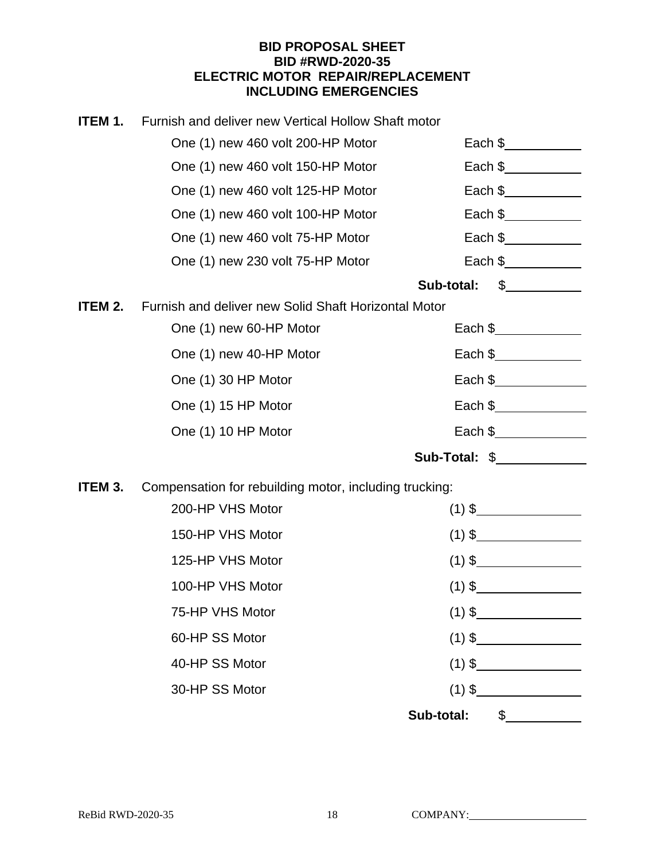#### **BID PROPOSAL SHEET BID #RWD-2020-35 ELECTRIC MOTOR REPAIR/REPLACEMENT INCLUDING EMERGENCIES**

| ITEM 1. | Furnish and deliver new Vertical Hollow Shaft motor    |                                                          |
|---------|--------------------------------------------------------|----------------------------------------------------------|
|         | One (1) new 460 volt 200-HP Motor                      | Each $\frac{1}{2}$                                       |
|         | One (1) new 460 volt 150-HP Motor                      | Each $\frac{1}{2}$ Each $\frac{1}{2}$                    |
|         | One (1) new 460 volt 125-HP Motor                      | Each $\frac{1}{2}$ Each $\frac{1}{2}$                    |
|         | One (1) new 460 volt 100-HP Motor                      | Each $\frac{1}{2}$ Each $\frac{1}{2}$                    |
|         | One (1) new 460 volt 75-HP Motor                       | Each $\frac{1}{2}$ Each $\frac{1}{2}$                    |
|         | One (1) new 230 volt 75-HP Motor                       | Each \$_____________                                     |
|         |                                                        | $\frac{1}{2}$<br>Sub-total:                              |
| ITEM 2. | Furnish and deliver new Solid Shaft Horizontal Motor   |                                                          |
|         | One (1) new 60-HP Motor                                | Each \$____________                                      |
|         | One (1) new 40-HP Motor                                | Each \$______________                                    |
|         | One (1) 30 HP Motor                                    | Each $\frac{1}{2}$                                       |
|         | One (1) 15 HP Motor                                    | Each \$______________                                    |
|         | One (1) 10 HP Motor                                    | Each $\frac{1}{2}$ Each $\frac{1}{2}$ Each $\frac{1}{2}$ |
|         |                                                        | Sub-Total: \$                                            |
| ITEM 3. | Compensation for rebuilding motor, including trucking: |                                                          |
|         | 200-HP VHS Motor                                       | $(1)$ \$                                                 |
|         | 150-HP VHS Motor                                       | $(1)$ \$                                                 |
|         | 125-HP VHS Motor                                       | $(1)$ \$                                                 |
|         | 100-HP VHS Motor                                       | $(1)$ \$                                                 |
|         | 75-HP VHS Motor                                        | $(1)$ \$                                                 |
|         | 60-HP SS Motor                                         | $(1)$ \$                                                 |
|         | 40-HP SS Motor                                         |                                                          |
|         | 30-HP SS Motor                                         | $(1)$ \$                                                 |
|         |                                                        | Sub-total: \$                                            |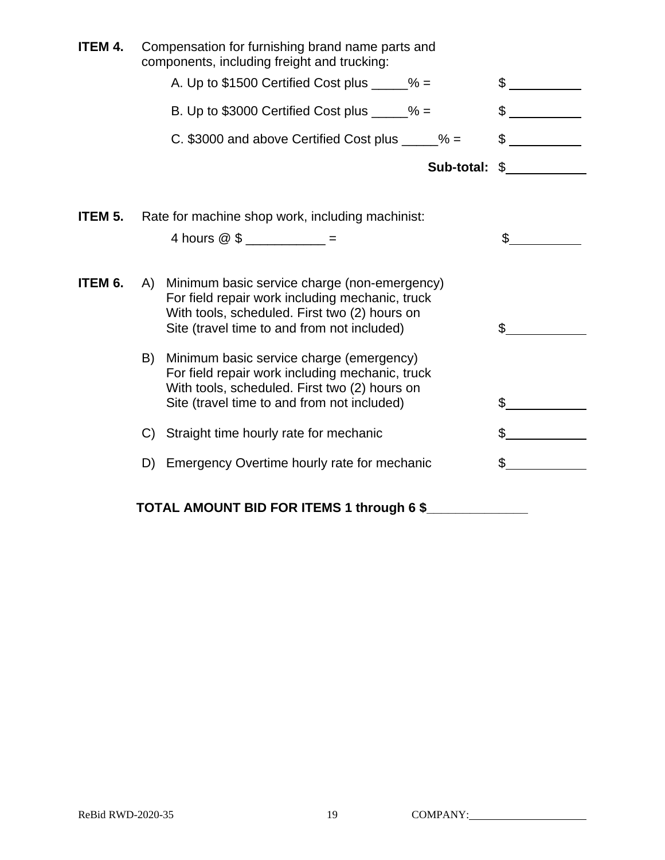| ITEM 4. | Compensation for furnishing brand name parts and<br>components, including freight and trucking:                                                                                                       |                |
|---------|-------------------------------------------------------------------------------------------------------------------------------------------------------------------------------------------------------|----------------|
|         | A. Up to $$1500$ Certified Cost plus _____% =                                                                                                                                                         |                |
|         | B. Up to $$3000$ Certified Cost plus _____% =                                                                                                                                                         | \$             |
|         | C. \$3000 and above Certified Cost plus $\frac{6}{2}$ =                                                                                                                                               | $\mathbb{S}^-$ |
|         | Sub-total:                                                                                                                                                                                            | $\frac{1}{2}$  |
| ITEM 5. | Rate for machine shop work, including machinist:                                                                                                                                                      |                |
|         | 4 hours $@$ \$ ___________ =                                                                                                                                                                          | \$             |
| ITEM 6. | Minimum basic service charge (non-emergency)<br>A)<br>For field repair work including mechanic, truck<br>With tools, scheduled. First two (2) hours on<br>Site (travel time to and from not included) | \$             |
|         | Minimum basic service charge (emergency)<br>B)<br>For field repair work including mechanic, truck<br>With tools, scheduled. First two (2) hours on<br>Site (travel time to and from not included)     | \$             |
|         | Straight time hourly rate for mechanic<br>C)                                                                                                                                                          | \$             |
|         | D) Emergency Overtime hourly rate for mechanic                                                                                                                                                        | \$.            |
|         | TOTAL AMOUNT BID FOR ITEMS 1 through 6 \$                                                                                                                                                             |                |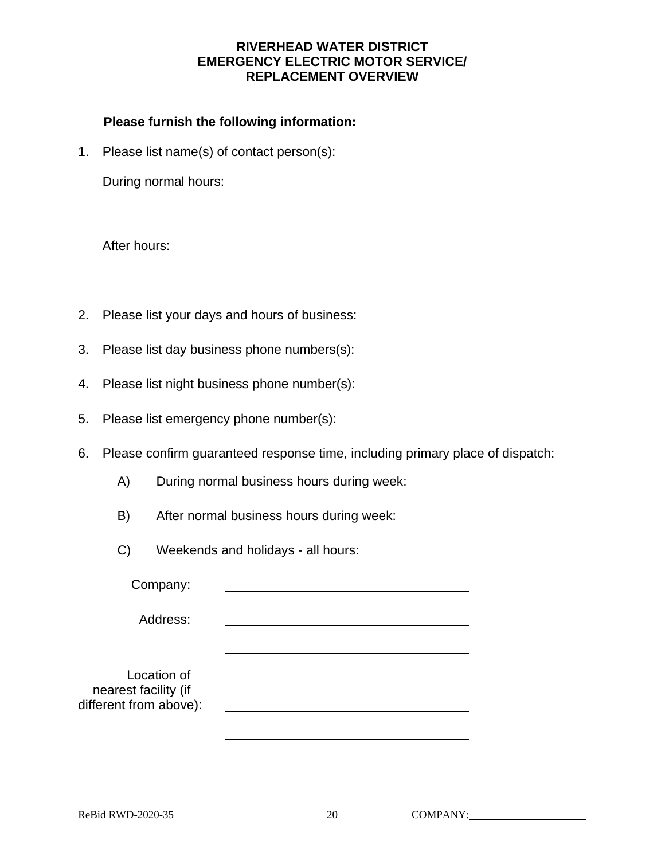#### **RIVERHEAD WATER DISTRICT EMERGENCY ELECTRIC MOTOR SERVICE/ REPLACEMENT OVERVIEW**

#### **Please furnish the following information:**

1. Please list name(s) of contact person(s):

During normal hours:

After hours:

- 2. Please list your days and hours of business:
- 3. Please list day business phone numbers(s):
- 4. Please list night business phone number(s):
- 5. Please list emergency phone number(s):
- 6. Please confirm guaranteed response time, including primary place of dispatch:
	- A) During normal business hours during week:
	- B) After normal business hours during week:
	- C) Weekends and holidays all hours:

Company:

Address:

 Location of nearest facility (if different from above):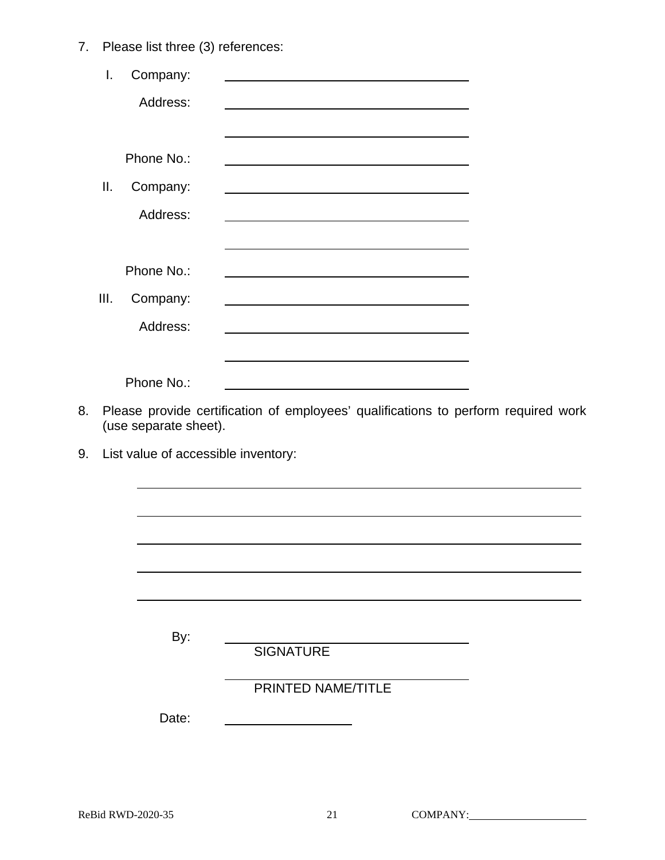7. Please list three (3) references:

|    | I.   | Company:              |                                                                                                                                                                                                                               |  |
|----|------|-----------------------|-------------------------------------------------------------------------------------------------------------------------------------------------------------------------------------------------------------------------------|--|
|    |      | Address:              |                                                                                                                                                                                                                               |  |
|    |      |                       |                                                                                                                                                                                                                               |  |
|    |      | Phone No.:            | the control of the control of the control of the control of the control of the control of the control of the control of the control of the control of the control of the control of the control of the control of the control |  |
|    | ΙΙ.  | Company:              |                                                                                                                                                                                                                               |  |
|    |      | Address:              |                                                                                                                                                                                                                               |  |
|    |      |                       |                                                                                                                                                                                                                               |  |
|    |      | Phone No.:            |                                                                                                                                                                                                                               |  |
|    | III. | Company:              |                                                                                                                                                                                                                               |  |
|    |      | Address:              | <u> 1980 - Johann Barnett, fransk politiker (d. 1980)</u>                                                                                                                                                                     |  |
|    |      |                       | <u> 1989 - Johann Stoff, amerikansk politiker (d. 1989)</u>                                                                                                                                                                   |  |
|    |      | Phone No.:            |                                                                                                                                                                                                                               |  |
| 8. |      | (use separate sheet). | Please provide certification of employees' qualifications to perform required work                                                                                                                                            |  |
| 9. |      |                       | List value of accessible inventory:                                                                                                                                                                                           |  |
|    |      |                       |                                                                                                                                                                                                                               |  |
|    |      |                       |                                                                                                                                                                                                                               |  |
|    |      |                       |                                                                                                                                                                                                                               |  |
|    |      |                       |                                                                                                                                                                                                                               |  |
|    |      |                       |                                                                                                                                                                                                                               |  |
|    |      |                       |                                                                                                                                                                                                                               |  |
|    |      | By:                   | <b>SIGNATURE</b>                                                                                                                                                                                                              |  |
|    |      |                       | PRINTED NAME/TITLE                                                                                                                                                                                                            |  |
|    |      | Date:                 |                                                                                                                                                                                                                               |  |
|    |      |                       |                                                                                                                                                                                                                               |  |